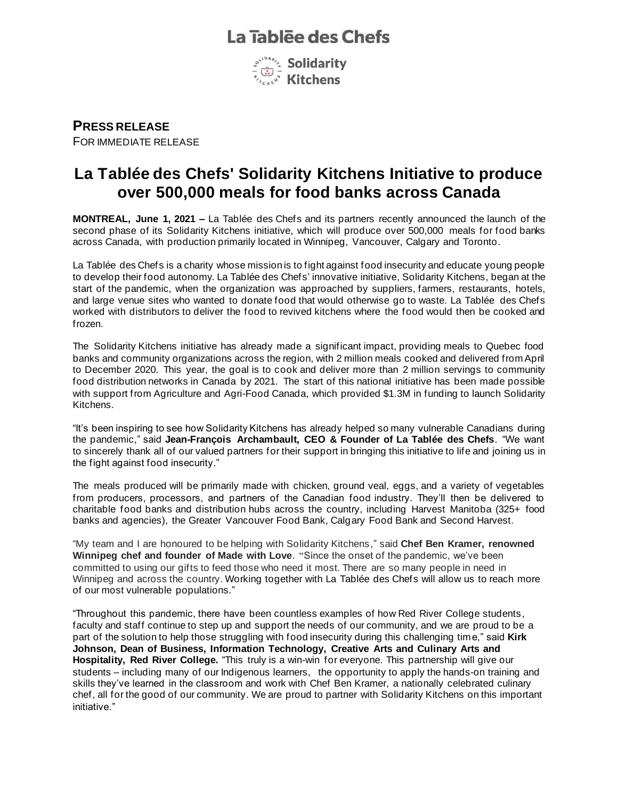# La Tablée des Chefs



**PRESS RELEASE** FOR IMMEDIATE RELEASE

# **La Tablée des Chefs' Solidarity Kitchens Initiative to produce over 500,000 meals for food banks across Canada**

**MONTREAL, June 1, 2021 –** La Tablée des Chefs and its partners recently announced the launch of the second phase of its Solidarity Kitchens initiative, which will produce over 500,000 meals for food banks across Canada, with production primarily located in Winnipeg, Vancouver, Calgary and Toronto.

La Tablée des Chefs is a charity whose mission is to fight against food insecurity and educate young people to develop their food autonomy. La Tablée des Chefs' innovative initiative, Solidarity Kitchens, began at the start of the pandemic, when the organization was approached by suppliers, farmers, restaurants, hotels, and large venue sites who wanted to donate food that would otherwise go to waste. La Tablée des Chefs worked with distributors to deliver the food to revived kitchens where the food would then be cooked and frozen.

The Solidarity Kitchens initiative has already made a significant impact, providing meals to Quebec food banks and community organizations across the region, with 2 million meals cooked and delivered from April to December 2020. This year, the goal is to cook and deliver more than 2 million servings to community food distribution networks in Canada by 2021. The start of this national initiative has been made possible with support from Agriculture and Agri-Food Canada, which provided \$1.3M in funding to launch Solidarity Kitchens.

"It's been inspiring to see how Solidarity Kitchens has already helped so many vulnerable Canadians during the pandemic," said **Jean-François Archambault, CEO & Founder of La Tablée des Chefs**. "We want to sincerely thank all of our valued partners for their support in bringing this initiative to life and joining us in the fight against food insecurity."

The meals produced will be primarily made with chicken, ground veal, eggs, and a variety of vegetables from producers, processors, and partners of the Canadian food industry. They'll then be delivered to charitable food banks and distribution hubs across the country, including Harvest Manitoba (325+ food banks and agencies), the Greater Vancouver Food Bank, Calgary Food Bank and Second Harvest.

"My team and I are honoured to be helping with Solidarity Kitchens," said **Chef Ben Kramer, renowned Winnipeg chef and founder of Made with Love**. "Since the onset of the pandemic, we've been committed to using our gifts to feed those who need it most. There are so many people in need in Winnipeg and across the country. Working together with La Tablée des Chefs will allow us to reach more of our most vulnerable populations."

"Throughout this pandemic, there have been countless examples of how Red River College students, faculty and staff continue to step up and support the needs of our community, and we are proud to be a part of the solution to help those struggling with food insecurity during this challenging time," said **Kirk Johnson, Dean of Business, Information Technology, Creative Arts and Culinary Arts and Hospitality, Red River College.** "This truly is a win-win for everyone. This partnership will give our students – including many of our Indigenous learners, the opportunity to apply the hands-on training and skills they've learned in the classroom and work with Chef Ben Kramer, a nationally celebrated culinary chef, all for the good of our community. We are proud to partner with Solidarity Kitchens on this important initiative."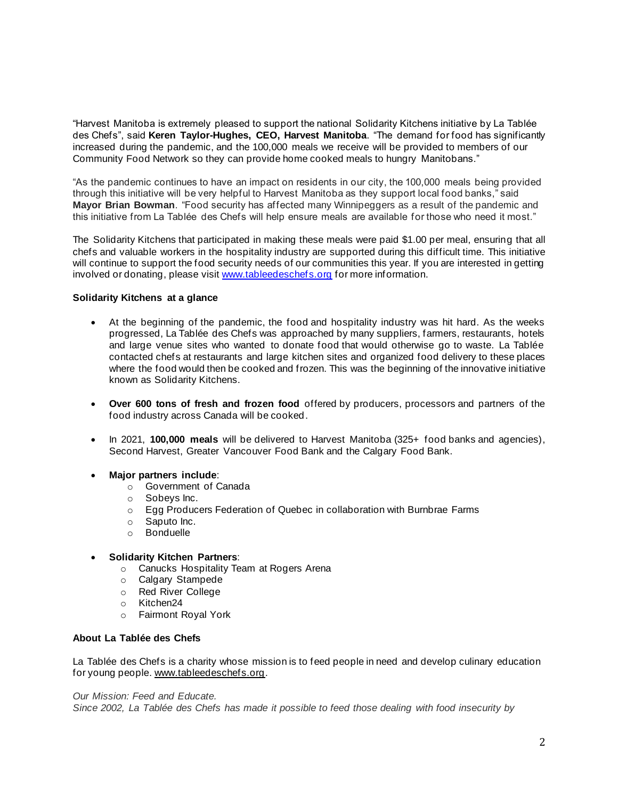"Harvest Manitoba is extremely pleased to support the national Solidarity Kitchens initiative by La Tablée des Chefs", said **Keren Taylor-Hughes, CEO, Harvest Manitoba**. "The demand for food has significantly increased during the pandemic, and the 100,000 meals we receive will be provided to members of our Community Food Network so they can provide home cooked meals to hungry Manitobans."

"As the pandemic continues to have an impact on residents in our city, the 100,000 meals being provided through this initiative will be very helpful to Harvest Manitoba as they support local food banks," said **Mayor Brian Bowman**. "Food security has affected many Winnipeggers as a result of the pandemic and this initiative from La Tablée des Chefs will help ensure meals are available for those who need it most."

The Solidarity Kitchens that participated in making these meals were paid \$1.00 per meal, ensuring that all chefs and valuable workers in the hospitality industry are supported during this difficult time. This initiative will continue to support the food security needs of our communities this year. If you are interested in getting involved or donating, please visit www.tableedeschefs.org for more information.

## **Solidarity Kitchens at a glance**

- At the beginning of the pandemic, the food and hospitality industry was hit hard. As the weeks progressed, La Tablée des Chefs was approached by many suppliers, farmers, restaurants, hotels and large venue sites who wanted to donate food that would otherwise go to waste. La Tablée contacted chefs at restaurants and large kitchen sites and organized food delivery to these places where the food would then be cooked and frozen. This was the beginning of the innovative initiative known as Solidarity Kitchens.
- **Over 600 tons of fresh and frozen food** offered by producers, processors and partners of the food industry across Canada will be cooked.
- In 2021, **100,000 meals** will be delivered to Harvest Manitoba (325+ food banks and agencies), Second Harvest, Greater Vancouver Food Bank and the Calgary Food Bank.
- **Major partners include**:
	- o Government of Canada
	- o Sobeys Inc.
	- o Egg Producers Federation of Quebec in collaboration with Burnbrae Farms
	- o Saputo Inc.
	- o Bonduelle
- **Solidarity Kitchen Partners**:
	- o Canucks Hospitality Team at Rogers Arena
	- o Calgary Stampede
	- o Red River College
	- o Kitchen24
	- o Fairmont Royal York

# **About La Tablée des Chefs**

La Tablée des Chefs is a charity whose mission is to feed people in need and develop culinary education for young people. www.tableedeschefs.org.

### *Our Mission: Feed and Educate.*

*Since 2002, La Tablée des Chefs has made it possible to feed those dealing with food insecurity by*